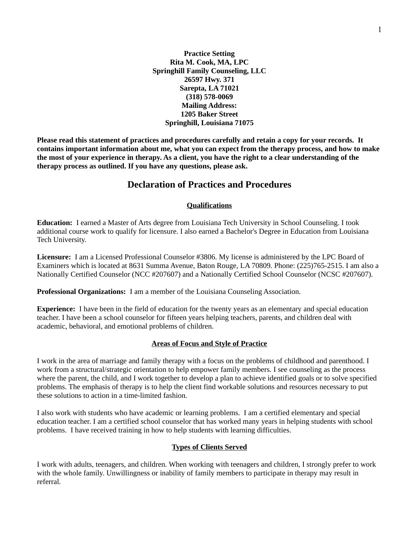**Practice Setting Rita M. Cook, MA, LPC Springhill Family Counseling, LLC 26597 Hwy. 371 Sarepta, LA 71021 (318) 578-0069 Mailing Address: 1205 Baker Street Springhill, Louisiana 71075**

**Please read this statement of practices and procedures carefully and retain a copy for your records. It contains important information about me, what you can expect from the therapy process, and how to make the most of your experience in therapy. As a client, you have the right to a clear understanding of the therapy process as outlined. If you have any questions, please ask.**

## **Declaration of Practices and Procedures**

### **Qualifications**

**Education:** I earned a Master of Arts degree from Louisiana Tech University in School Counseling. I took additional course work to qualify for licensure. I also earned a Bachelor's Degree in Education from Louisiana Tech University.

**Licensure:** I am a Licensed Professional Counselor #3806. My license is administered by the LPC Board of Examiners which is located at 8631 Summa Avenue, Baton Rouge, LA 70809. Phone: (225)765-2515. I am also a Nationally Certified Counselor (NCC #207607) and a Nationally Certified School Counselor (NCSC #207607).

**Professional Organizations:** I am a member of the Louisiana Counseling Association.

**Experience:** I have been in the field of education for the twenty years as an elementary and special education teacher. I have been a school counselor for fifteen years helping teachers, parents, and children deal with academic, behavioral, and emotional problems of children.

## **Areas of Focus and Style of Practice**

I work in the area of marriage and family therapy with a focus on the problems of childhood and parenthood. I work from a structural/strategic orientation to help empower family members. I see counseling as the process where the parent, the child, and I work together to develop a plan to achieve identified goals or to solve specified problems. The emphasis of therapy is to help the client find workable solutions and resources necessary to put these solutions to action in a time-limited fashion.

I also work with students who have academic or learning problems. I am a certified elementary and special education teacher. I am a certified school counselor that has worked many years in helping students with school problems. I have received training in how to help students with learning difficulties.

## **Types of Clients Served**

I work with adults, teenagers, and children. When working with teenagers and children, I strongly prefer to work with the whole family. Unwillingness or inability of family members to participate in therapy may result in referral.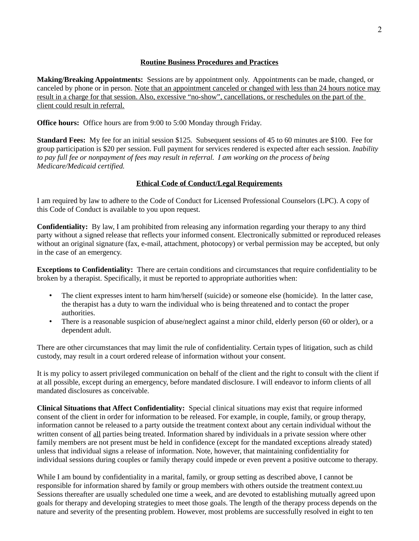## **Routine Business Procedures and Practices**

**Making/Breaking Appointments:** Sessions are by appointment only. Appointments can be made, changed, or canceled by phone or in person. Note that an appointment canceled or changed with less than 24 hours notice may result in a charge for that session. Also, excessive "no-show", cancellations, or reschedules on the part of the client could result in referral.

**Office hours:** Office hours are from 9:00 to 5:00 Monday through Friday.

**Standard Fees:** My fee for an initial session \$125. Subsequent sessions of 45 to 60 minutes are \$100. Fee for group participation is \$20 per session. Full payment for services rendered is expected after each session. *Inability*  to pay full fee or nonpayment of fees may result in referral. I am working on the process of being *Medicare/Medicaid certified.*

## **Ethical Code of Conduct/Legal Requirements**

I am required by law to adhere to the Code of Conduct for Licensed Professional Counselors (LPC). A copy of this Code of Conduct is available to you upon request.

**Confidentiality:** By law, I am prohibited from releasing any information regarding your therapy to any third party without a signed release that reflects your informed consent. Electronically submitted or reproduced releases without an original signature (fax, e-mail, attachment, photocopy) or verbal permission may be accepted, but only in the case of an emergency.

**Exceptions to Confidentiality:** There are certain conditions and circumstances that require confidentiality to be broken by a therapist. Specifically, it must be reported to appropriate authorities when:

- The client expresses intent to harm him/herself (suicide) or someone else (homicide). In the latter case, the therapist has a duty to warn the individual who is being threatened and to contact the proper authorities.
- There is a reasonable suspicion of abuse/neglect against a minor child, elderly person (60 or older), or a dependent adult.

There are other circumstances that may limit the rule of confidentiality. Certain types of litigation, such as child custody, may result in a court ordered release of information without your consent.

It is my policy to assert privileged communication on behalf of the client and the right to consult with the client if at all possible, except during an emergency, before mandated disclosure. I will endeavor to inform clients of all mandated disclosures as conceivable.

**Clinical Situations that Affect Confidentiality:** Special clinical situations may exist that require informed consent of the client in order for information to be released. For example, in couple, family, or group therapy, information cannot be released to a party outside the treatment context about any certain individual without the written consent of all parties being treated. Information shared by individuals in a private session where other family members are not present must be held in confidence (except for the mandated exceptions already stated) unless that individual signs a release of information. Note, however, that maintaining confidentiality for individual sessions during couples or family therapy could impede or even prevent a positive outcome to therapy.

While I am bound by confidentiality in a marital, family, or group setting as described above, I cannot be responsible for information shared by family or group members with others outside the treatment context.uu Sessions thereafter are usually scheduled one time a week, and are devoted to establishing mutually agreed upon goals for therapy and developing strategies to meet those goals. The length of the therapy process depends on the nature and severity of the presenting problem. However, most problems are successfully resolved in eight to ten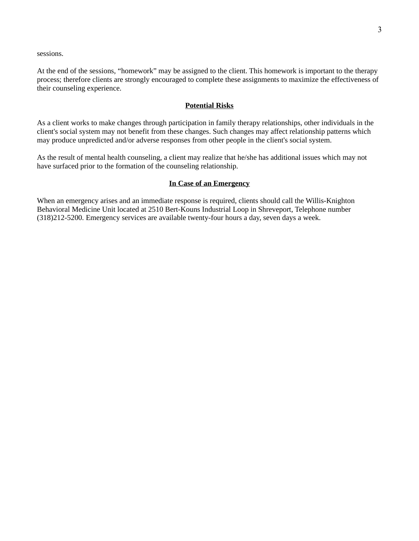sessions.

At the end of the sessions, "homework" may be assigned to the client. This homework is important to the therapy process; therefore clients are strongly encouraged to complete these assignments to maximize the effectiveness of their counseling experience.

### **Potential Risks**

As a client works to make changes through participation in family therapy relationships, other individuals in the client's social system may not benefit from these changes. Such changes may affect relationship patterns which may produce unpredicted and/or adverse responses from other people in the client's social system.

As the result of mental health counseling, a client may realize that he/she has additional issues which may not have surfaced prior to the formation of the counseling relationship.

#### **In Case of an Emergency**

When an emergency arises and an immediate response is required, clients should call the Willis-Knighton Behavioral Medicine Unit located at 2510 Bert-Kouns Industrial Loop in Shreveport, Telephone number (318)212-5200. Emergency services are available twenty-four hours a day, seven days a week.